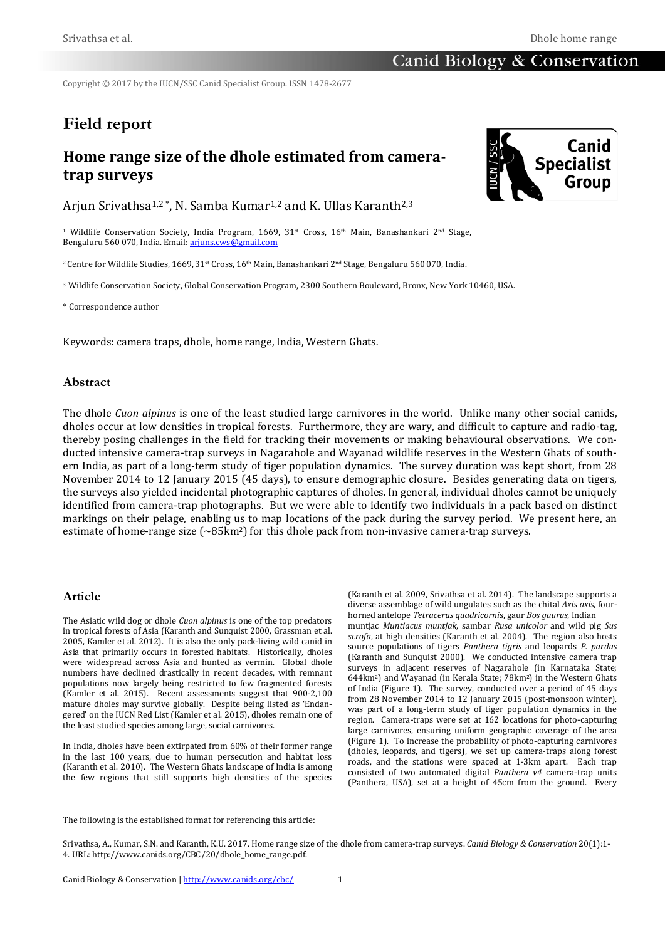Copyright © 2017 by the IUCN/SSC Canid Specialist Group. ISSN 1478-2677

# **Field report**

## **Home range size of the dhole estimated from cameratrap surveys**

Arjun Srivathsa<sup>1,2</sup>\*, N. Samba Kumar<sup>1,2</sup> and K. Ullas Karanth<sup>2,3</sup>

<sup>1</sup> Wildlife Conservation Society, India Program, 1669,  $31<sup>st</sup>$  Cross, 16<sup>th</sup> Main, Banashankari 2<sup>nd</sup> Stage, Bengaluru 560 070, India. Email[: arjuns.cws@gmail.com](mailto:arjuns.cws@gmail)

2 Centre for Wildlife Studies, 1669, 31st Cross, 16th Main, Banashankari 2nd Stage, Bengaluru 560 070, India.

<sup>3</sup> Wildlife Conservation Society, Global Conservation Program, 2300 Southern Boulevard, Bronx, New York 10460, USA.

\* Correspondence author

Keywords: camera traps, dhole, home range, India, Western Ghats*.*

#### **Abstract**

The dhole *Cuon alpinus* is one of the least studied large carnivores in the world. Unlike many other social canids, dholes occur at low densities in tropical forests. Furthermore, they are wary, and difficult to capture and radio-tag, thereby posing challenges in the field for tracking their movements or making behavioural observations. We conducted intensive camera-trap surveys in Nagarahole and Wayanad wildlife reserves in the Western Ghats of southern India, as part of a long-term study of tiger population dynamics. The survey duration was kept short, from 28 November 2014 to 12 January 2015 (45 days), to ensure demographic closure. Besides generating data on tigers, the surveys also yielded incidental photographic captures of dholes. In general, individual dholes cannot be uniquely identified from camera-trap photographs. But we were able to identify two individuals in a pack based on distinct markings on their pelage, enabling us to map locations of the pack during the survey period. We present here, an estimate of home-range size  $\sim 85 \text{km}^2$  for this dhole pack from non-invasive camera-trap surveys.

#### **Article**

The Asiatic wild dog or dhole *Cuon alpinus* is one of the top predators in tropical forests of Asia (Karanth and Sunquist 2000, Grassman et al. 2005, Kamler et al. 2012). It is also the only pack-living wild canid in Asia that primarily occurs in forested habitats. Historically, dholes were widespread across Asia and hunted as vermin. Global dhole numbers have declined drastically in recent decades, with remnant populations now largely being restricted to few fragmented forests (Kamler et al. 2015). Recent assessments suggest that 900-2,100 mature dholes may survive globally. Despite being listed as 'Endangered' on the IUCN Red List (Kamler et al. 2015), dholes remain one of the least studied species among large, social carnivores.

In India, dholes have been extirpated from 60% of their former range in the last 100 years, due to human persecution and habitat loss (Karanth et al. 2010). The Western Ghats landscape of India is among the few regions that still supports high densities of the species (Karanth et al. 2009, Srivathsa et al. 2014). The landscape supports a diverse assemblage of wild ungulates such as the chital *Axis axis*, fourhorned antelope *Tetracerus quadricorni*s, gaur *Bos gaurus*, Indian

muntjac *Muntiacus muntjak*, sambar *Rusa unicolor* and wild pig *Sus scrofa*, at high densities (Karanth et al. 2004). The region also hosts source populations of tigers *Panthera tigris* and leopards *P. pardus* (Karanth and Sunquist 2000). We conducted intensive camera trap surveys in adjacent reserves of Nagarahole (in Karnataka State; 644km2) and Wayanad (in Kerala State; 78km2) in the Western Ghats of India (Figure 1). The survey, conducted over a period of 45 days from 28 November 2014 to 12 January 2015 (post-monsoon winter), was part of a long-term study of tiger population dynamics in the region. Camera-traps were set at 162 locations for photo-capturing large carnivores, ensuring uniform geographic coverage of the area (Figure 1). To increase the probability of photo-capturing carnivores (dholes, leopards, and tigers), we set up camera-traps along forest roads, and the stations were spaced at 1-3km apart. Each trap consisted of two automated digital *Panthera v4* camera-trap units (Panthera, USA), set at a height of 45cm from the ground. Every

The following is the established format for referencing this article:

Srivathsa, A., Kumar, S.N. and Karanth, K.U. 2017. Home range size of the dhole from camera-trap surveys. *Canid Biology & Conservation* 20(1):1- 4. URL: http://www.canids.org/CBC/20/dhole\_home\_range.pdf.

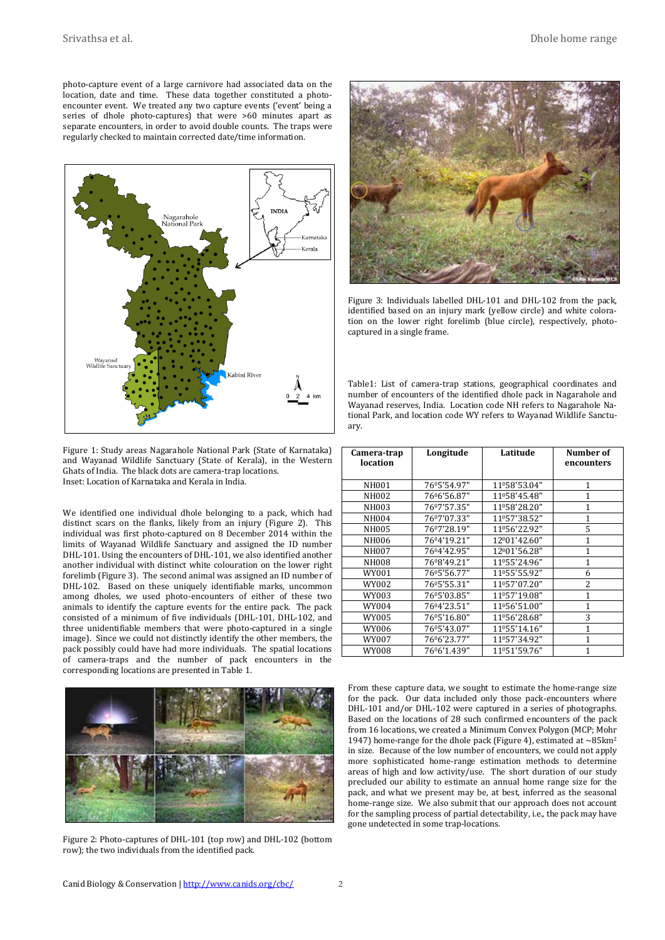photo-capture event of a large carnivore had associated data on the location, date and time. These data together constituted a photoencounter event. We treated any two capture events ('event' being a series of dhole photo-captures) that were >60 minutes apart as separate encounters, in order to avoid double counts. The traps were regularly checked to maintain corrected date/time information.



Figure 1: Study areas Nagarahole National Park (State of Karnataka) and Wayanad Wildlife Sanctuary (State of Kerala), in the Western Ghats of India. The black dots are camera-trap locations. Inset: Location of Karnataka and Kerala in India.

We identified one individual dhole belonging to a pack, which had distinct scars on the flanks, likely from an injury (Figure 2). This individual was first photo-captured on 8 December 2014 within the limits of Wayanad Wildlife Sanctuary and assigned the ID number DHL-101. Using the encounters of DHL-101, we also identified another another individual with distinct white colouration on the lower right forelimb (Figure 3). The second animal was assigned an ID number of DHL-102. Based on these uniquely identifiable marks, uncommon among dholes, we used photo-encounters of either of these two animals to identify the capture events for the entire pack. The pack consisted of a minimum of five individuals (DHL-101, DHL-102, and three unidentifiable members that were photo-captured in a single image). Since we could not distinctly identify the other members, the pack possibly could have had more individuals. The spatial locations of camera-traps and the number of pack encounters in the corresponding locations are presented in Table 1.



Figure 2: Photo-captures of DHL-101 (top row) and DHL-102 (bottom row); the two individuals from the identified pack.



Figure 3: Individuals labelled DHL-101 and DHL-102 from the pack, identified based on an injury mark (yellow circle) and white coloration on the lower right forelimb (blue circle), respectively, photocaptured in a single frame.

Table1: List of camera-trap stations, geographical coordinates and number of encounters of the identified dhole pack in Nagarahole and Wayanad reserves, India. Location code NH refers to Nagarahole National Park, and location code WY refers to Wayanad Wildlife Sanctuary.

| Camera-trap<br>location | Longitude   | Latitude     | Number of<br>encounters |  |
|-------------------------|-------------|--------------|-------------------------|--|
| NH001                   | 76°5'54.97" | 11º58'53.04" | 1                       |  |
| NH002                   | 76%'56.87"  | 11058'45.48" | $\mathbf{1}$            |  |
| NH003                   | 76°7'57.35" | 11º58'28.20" | 1                       |  |
| NH004                   | 76°7'07.33" | 11º57'38.52" | $\mathbf{1}$            |  |
| NH005                   | 7607'28.19" | 11º56'22.92" | 5                       |  |
| NH006                   | 7604'19.21" | 12001'42.60" | 1                       |  |
| <b>NH007</b>            | 7604'42.95" | 12001'56.28" | $\mathbf{1}$            |  |
| <b>NH008</b>            | 7608'49.21" | 11º55'24.96" | $\mathbf{1}$            |  |
| WY001                   | 76°5'56.77" | 11º55'55.92" | 6                       |  |
| WY002                   | 76°5'55.31" | 11º57'07.20" | 2                       |  |
| WY003                   | 76°5'03.85" | 11º57'19.08" | 1                       |  |
| WY004                   | 7604'23.51" | 11º56'51.00" | 1                       |  |
| WY005                   | 76°5'16.80" | 11º56'28.68" | 3                       |  |
| WY006                   | 76°5'43.07" | 11º55'14.16" | 1                       |  |
| WY007                   | 76%'23.77"  | 11º57'34.92" | 1                       |  |
| WY008                   | 76%'1.439"  | 11º51'59.76" | 1                       |  |

From these capture data, we sought to estimate the home-range size for the pack. Our data included only those pack-encounters where DHL-101 and/or DHL-102 were captured in a series of photographs. Based on the locations of 28 such confirmed encounters of the pack from 16 locations, we created a Minimum Convex Polygon (MCP; Mohr 1947) home-range for the dhole pack (Figure 4), estimated at  $\sim$  85 km<sup>2</sup> in size. Because of the low number of encounters, we could not apply more sophisticated home-range estimation methods to determine areas of high and low activity/use. The short duration of our study precluded our ability to estimate an annual home range size for the pack, and what we present may be, at best, inferred as the seasonal home-range size. We also submit that our approach does not account for the sampling process of partial detectability, i.e., the pack may have gone undetected in some trap-locations.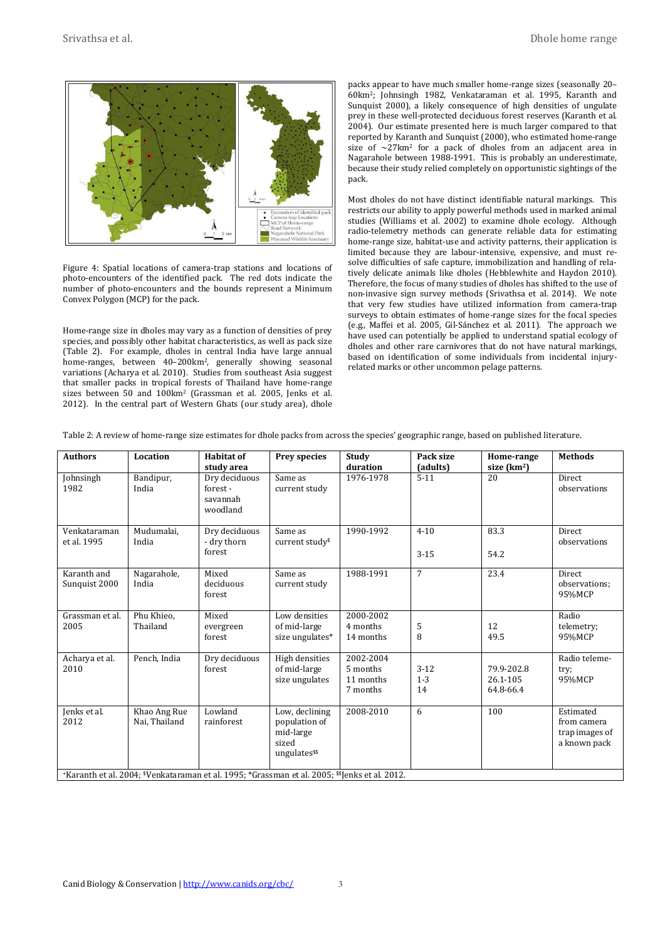

Figure 4: Spatial locations of camera-trap stations and locations of photo-encounters of the identified pack. The red dots indicate the number of photo-encounters and the bounds represent a Minimum Convex Polygon (MCP) for the pack.

Home-range size in dholes may vary as a function of densities of prey species, and possibly other habitat characteristics, as well as pack size (Table 2). For example, dholes in central India have large annual home-ranges, between 40–200km2, generally showing seasonal variations (Acharya et al. 2010). Studies from southeast Asia suggest that smaller packs in tropical forests of Thailand have home-range sizes between 50 and 100km2 (Grassman et al. 2005, Jenks et al. 2012). In the central part of Western Ghats (our study area), dhole packs appear to have much smaller home-range sizes (seasonally 20– 60km2; Johnsingh 1982, Venkataraman et al. 1995, Karanth and Sunquist 2000), a likely consequence of high densities of ungulate prey in these well-protected deciduous forest reserves (Karanth et al. 2004). Our estimate presented here is much larger compared to that reported by Karanth and Sunquist (2000), who estimated home-range size of  $\sim$ 27km<sup>2</sup> for a pack of dholes from an adjacent area in Nagarahole between 1988-1991. This is probably an underestimate, because their study relied completely on opportunistic sightings of the pack.

Most dholes do not have distinct identifiable natural markings. This restricts our ability to apply powerful methods used in marked animal studies (Williams et al. 2002) to examine dhole ecology. Although radio-telemetry methods can generate reliable data for estimating home-range size, habitat-use and activity patterns, their application is limited because they are labour-intensive, expensive, and must resolve difficulties of safe capture, immobilization and handling of relatively delicate animals like dholes (Hebblewhite and Haydon 2010). Therefore, the focus of many studies of dholes has shifted to the use of non-invasive sign survey methods (Srivathsa et al. 2014). We note that very few studies have utilized information from camera-trap surveys to obtain estimates of home-range sizes for the focal species (e.g., Maffei et al. 2005, Gil-Sánchez et al. 2011). The approach we have used can potentially be applied to understand spatial ecology of dholes and other rare carnivores that do not have natural markings, based on identification of some individuals from incidental injuryrelated marks or other uncommon pelage patterns.

| <b>Authors</b>                                                                               | Location                      | Habitat of<br>study area                         | <b>Prey species</b>                                                                | Study<br>duration                              | Pack size<br>(adults)     | Home-range<br>size (km <sup>2</sup> ) | <b>Methods</b>                                             |  |
|----------------------------------------------------------------------------------------------|-------------------------------|--------------------------------------------------|------------------------------------------------------------------------------------|------------------------------------------------|---------------------------|---------------------------------------|------------------------------------------------------------|--|
| Johnsingh<br>1982                                                                            | Bandipur,<br>India            | Dry deciduous<br>forest-<br>savannah<br>woodland | Same as<br>current study                                                           | 1976-1978                                      | $5 - 11$                  | 20                                    | Direct<br>observations                                     |  |
| Venkataraman<br>et al. 1995                                                                  | Mudumalai.<br>India           | Dry deciduous<br>- dry thorn<br>forest           | Same as<br>current study <sup>\$</sup>                                             | 1990-1992                                      | $4 - 10$<br>$3 - 15$      | 83.3<br>54.2                          | <b>Direct</b><br>observations                              |  |
| Karanth and<br>Sunquist 2000                                                                 | Nagarahole,<br>India          | Mixed<br>deciduous<br>forest                     | Same as<br>current study                                                           | 1988-1991                                      | $\overline{7}$            | 23.4                                  | Direct<br>observations;<br>95%MCP                          |  |
| Grassman et al.<br>2005                                                                      | Phu Khieo,<br>Thailand        | Mixed<br>evergreen<br>forest                     | Low densities<br>of mid-large<br>size ungulates*                                   | 2000-2002<br>4 months<br>14 months             | 5<br>8                    | 12<br>49.5                            | Radio<br>telemetry;<br>95%MCP                              |  |
| Acharya et al.<br>2010                                                                       | Pench, India                  | Dry deciduous<br>forest                          | High densities<br>of mid-large<br>size ungulates                                   | 2002-2004<br>5 months<br>11 months<br>7 months | $3 - 12$<br>$1 - 3$<br>14 | 79.9-202.8<br>26.1-105<br>64.8-66.4   | Radio teleme-<br>try;<br>95%MCP                            |  |
| Jenks et al.<br>2012                                                                         | Khao Ang Rue<br>Nai. Thailand | Lowland<br>rainforest                            | Low, declining<br>population of<br>mid-large<br>sized<br>ungulates <sup>\$\$</sup> | 2008-2010                                      | 6                         | 100                                   | Estimated<br>from camera<br>trap images of<br>a known pack |  |
| *Karanth et al. 2004; *Venkataraman et al. 1995; *Grassman et al. 2005; **Jenks et al. 2012. |                               |                                                  |                                                                                    |                                                |                           |                                       |                                                            |  |

Table 2: A review of home-range size estimates for dhole packs from across the species' geographic range, based on published literature.